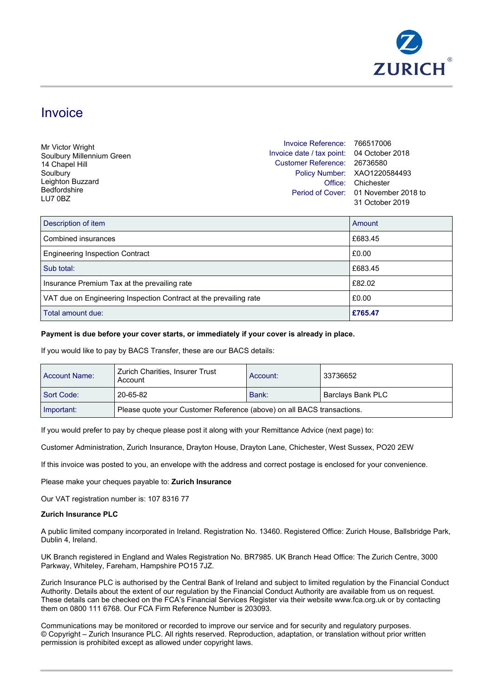

# Invoice

| Mr Victor Wright          | Invoice Reference: 766517006              |                                      |
|---------------------------|-------------------------------------------|--------------------------------------|
| Soulbury Millennium Green | Invoice date / tax point: 04 October 2018 |                                      |
| 14 Chapel Hill            | Customer Reference: 26736580              |                                      |
| Soulbury                  |                                           | Policy Number: XAO1220584493         |
| Leighton Buzzard          |                                           | Office: Chichester                   |
| <b>Bedfordshire</b>       |                                           | Period of Cover: 01 November 2018 to |
| LU7 0BZ                   |                                           | 31 October 2019                      |
|                           |                                           |                                      |
|                           |                                           |                                      |

| Total amount due:                                                 | £765.47 |
|-------------------------------------------------------------------|---------|
| VAT due on Engineering Inspection Contract at the prevailing rate | £0.00   |
| Insurance Premium Tax at the prevailing rate                      | £82.02  |
| Sub total:                                                        | £683.45 |
| <b>Engineering Inspection Contract</b>                            | £0.00   |
| Combined insurances                                               | £683.45 |
| Description of item                                               | Amount  |

## **Payment is due before your cover starts, or immediately if your cover is already in place.**

If you would like to pay by BACS Transfer, these are our BACS details:

| Account Name: | Zurich Charities, Insurer Trust<br>Account                             | Account: | 33736652          |
|---------------|------------------------------------------------------------------------|----------|-------------------|
| Sort Code:    | 20-65-82                                                               | Bank:    | Barclays Bank PLC |
| Important:    | Please quote your Customer Reference (above) on all BACS transactions. |          |                   |

If you would prefer to pay by cheque please post it along with your Remittance Advice (next page) to:

Customer Administration, Zurich Insurance, Drayton House, Drayton Lane, Chichester, West Sussex, PO20 2EW

If this invoice was posted to you, an envelope with the address and correct postage is enclosed for your convenience.

Please make your cheques payable to: **Zurich Insurance**

Our VAT registration number is: 107 8316 77

### **Zurich Insurance PLC**

A public limited company incorporated in Ireland. Registration No. 13460. Registered Office: Zurich House, Ballsbridge Park, Dublin 4, Ireland.

UK Branch registered in England and Wales Registration No. BR7985. UK Branch Head Office: The Zurich Centre, 3000 Parkway, Whiteley, Fareham, Hampshire PO15 7JZ.

Zurich Insurance PLC is authorised by the Central Bank of Ireland and subject to limited regulation by the Financial Conduct Authority. Details about the extent of our regulation by the Financial Conduct Authority are available from us on request. These details can be checked on the FCA's Financial Services Register via their website www.fca.org.uk or by contacting them on 0800 111 6768. Our FCA Firm Reference Number is 203093.

Communications may be monitored or recorded to improve our service and for security and regulatory purposes. © Copyright – Zurich Insurance PLC. All rights reserved. Reproduction, adaptation, or translation without prior written permission is prohibited except as allowed under copyright laws.